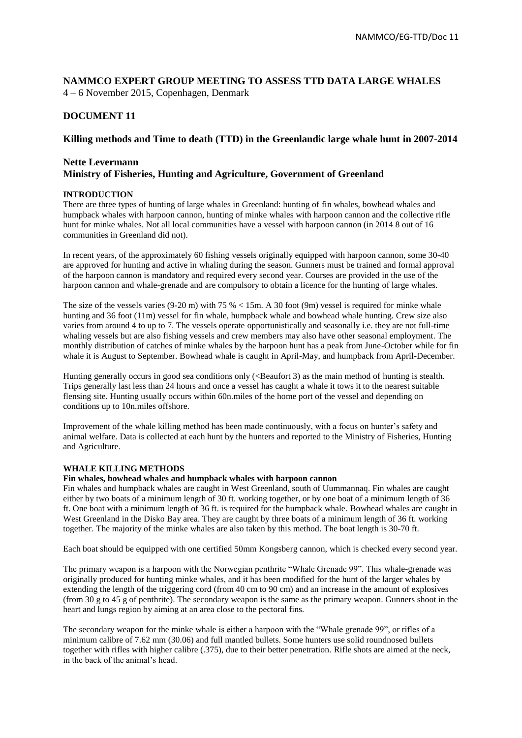**NAMMCO EXPERT GROUP MEETING TO ASSESS TTD DATA LARGE WHALES**  4 – 6 November 2015, Copenhagen, Denmark

# **DOCUMENT 11**

## **Killing methods and Time to death (TTD) in the Greenlandic large whale hunt in 2007-2014**

## **Nette Levermann Ministry of Fisheries, Hunting and Agriculture, Government of Greenland**

### **INTRODUCTION**

There are three types of hunting of large whales in Greenland: hunting of fin whales, bowhead whales and humpback whales with harpoon cannon, hunting of minke whales with harpoon cannon and the collective rifle hunt for minke whales. Not all local communities have a vessel with harpoon cannon (in 2014 8 out of 16 communities in Greenland did not).

In recent years, of the approximately 60 fishing vessels originally equipped with harpoon cannon, some 30-40 are approved for hunting and active in whaling during the season. Gunners must be trained and formal approval of the harpoon cannon is mandatory and required every second year. Courses are provided in the use of the harpoon cannon and whale-grenade and are compulsory to obtain a licence for the hunting of large whales.

The size of the vessels varies (9-20 m) with 75 %  $\leq$  15m. A 30 foot (9m) vessel is required for minke whale hunting and 36 foot (11m) vessel for fin whale, humpback whale and bowhead whale hunting. Crew size also varies from around 4 to up to 7. The vessels operate opportunistically and seasonally i.e. they are not full-time whaling vessels but are also fishing vessels and crew members may also have other seasonal employment. The monthly distribution of catches of minke whales by the harpoon hunt has a peak from June-October while for fin whale it is August to September. Bowhead whale is caught in April-May, and humpback from April-December.

Hunting generally occurs in good sea conditions only (<Beaufort 3) as the main method of hunting is stealth. Trips generally last less than 24 hours and once a vessel has caught a whale it tows it to the nearest suitable flensing site. Hunting usually occurs within 60n.miles of the home port of the vessel and depending on conditions up to 10n.miles offshore.

Improvement of the whale killing method has been made continuously, with a focus on hunter's safety and animal welfare. Data is collected at each hunt by the hunters and reported to the Ministry of Fisheries, Hunting and Agriculture.

### **WHALE KILLING METHODS**

### **Fin whales, bowhead whales and humpback whales with harpoon cannon**

Fin whales and humpback whales are caught in West Greenland, south of Uummannaq. Fin whales are caught either by two boats of a minimum length of 30 ft. working together, or by one boat of a minimum length of 36 ft. One boat with a minimum length of 36 ft. is required for the humpback whale. Bowhead whales are caught in West Greenland in the Disko Bay area. They are caught by three boats of a minimum length of 36 ft. working together. The majority of the minke whales are also taken by this method. The boat length is 30-70 ft.

Each boat should be equipped with one certified 50mm Kongsberg cannon, which is checked every second year.

The primary weapon is a harpoon with the Norwegian penthrite "Whale Grenade 99". This whale-grenade was originally produced for hunting minke whales, and it has been modified for the hunt of the larger whales by extending the length of the triggering cord (from 40 cm to 90 cm) and an increase in the amount of explosives (from 30 g to 45 g of penthrite). The secondary weapon is the same as the primary weapon. Gunners shoot in the heart and lungs region by aiming at an area close to the pectoral fins.

The secondary weapon for the minke whale is either a harpoon with the "Whale grenade 99", or rifles of a minimum calibre of 7.62 mm (30.06) and full mantled bullets. Some hunters use solid roundnosed bullets together with rifles with higher calibre (.375), due to their better penetration. Rifle shots are aimed at the neck, in the back of the animal's head.